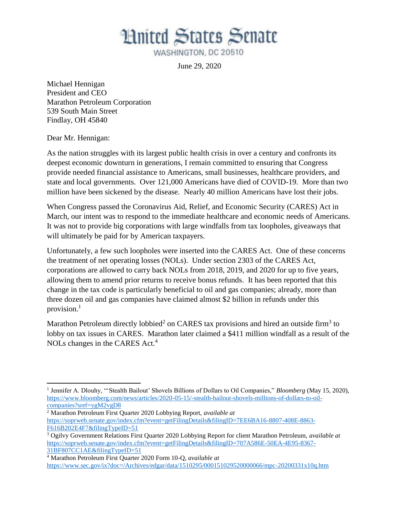**Hnited States Senate** 

WASHINGTON, DC 20510

June 29, 2020

Michael Hennigan President and CEO Marathon Petroleum Corporation 539 South Main Street Findlay, OH 45840

Dear Mr. Hennigan:

l

As the nation struggles with its largest public health crisis in over a century and confronts its deepest economic downturn in generations, I remain committed to ensuring that Congress provide needed financial assistance to Americans, small businesses, healthcare providers, and state and local governments. Over 121,000 Americans have died of COVID-19. More than two million have been sickened by the disease. Nearly 40 million Americans have lost their jobs.

When Congress passed the Coronavirus Aid, Relief, and Economic Security (CARES) Act in March, our intent was to respond to the immediate healthcare and economic needs of Americans. It was not to provide big corporations with large windfalls from tax loopholes, giveaways that will ultimately be paid for by American taxpayers.

Unfortunately, a few such loopholes were inserted into the CARES Act. One of these concerns the treatment of net operating losses (NOLs). Under section 2303 of the CARES Act, corporations are allowed to carry back NOLs from 2018, 2019, and 2020 for up to five years, allowing them to amend prior returns to receive bonus refunds. It has been reported that this change in the tax code is particularly beneficial to oil and gas companies; already, more than three dozen oil and gas companies have claimed almost \$2 billion in refunds under this provision. 1

Marathon Petroleum directly lobbied<sup>2</sup> on CARES tax provisions and hired an outside firm<sup>3</sup> to lobby on tax issues in CARES. Marathon later claimed a \$411 million windfall as a result of the NOLs changes in the CARES Act.<sup>4</sup>

<sup>&</sup>lt;sup>1</sup> Jennifer A. Dlouhy, "'Stealth Bailout' Shovels Billions of Dollars to Oil Companies," *Bloomberg* (May 15, 2020), [https://www.bloomberg.com/news/articles/2020-05-15/-stealth-bailout-shovels-millions-of-dollars-to-oil](https://www.bloomberg.com/news/articles/2020-05-15/-stealth-bailout-shovels-millions-of-dollars-to-oil-companies?sref=ygM2vgD8)[companies?sref=ygM2vgD8](https://www.bloomberg.com/news/articles/2020-05-15/-stealth-bailout-shovels-millions-of-dollars-to-oil-companies?sref=ygM2vgD8)

<sup>2</sup> Marathon Petroleum First Quarter 2020 Lobbying Report, *available at* [https://soprweb.senate.gov/index.cfm?event=getFilingDetails&filingID=7EE6BA16-8807-408E-8863-](https://soprweb.senate.gov/index.cfm?event=getFilingDetails&filingID=7EE6BA16-8807-408E-8863-F616B202E4F7&filingTypeID=51) [F616B202E4F7&filingTypeID=51](https://soprweb.senate.gov/index.cfm?event=getFilingDetails&filingID=7EE6BA16-8807-408E-8863-F616B202E4F7&filingTypeID=51)

<sup>3</sup> Ogilvy Government Relations First Quarter 2020 Lobbying Report for client Marathon Petroleum, *available at* [https://soprweb.senate.gov/index.cfm?event=getFilingDetails&filingID=707A586E-50EA-4E95-8367-](https://soprweb.senate.gov/index.cfm?event=getFilingDetails&filingID=707A586E-50EA-4E95-8367-31BF807CC1AE&filingTypeID=51) [31BF807CC1AE&filingTypeID=51](https://soprweb.senate.gov/index.cfm?event=getFilingDetails&filingID=707A586E-50EA-4E95-8367-31BF807CC1AE&filingTypeID=51)

<sup>4</sup> Marathon Petroleum First Quarter 2020 Form 10-Q, *available at* <https://www.sec.gov/ix?doc=/Archives/edgar/data/1510295/000151029520000066/mpc-20200331x10q.htm>